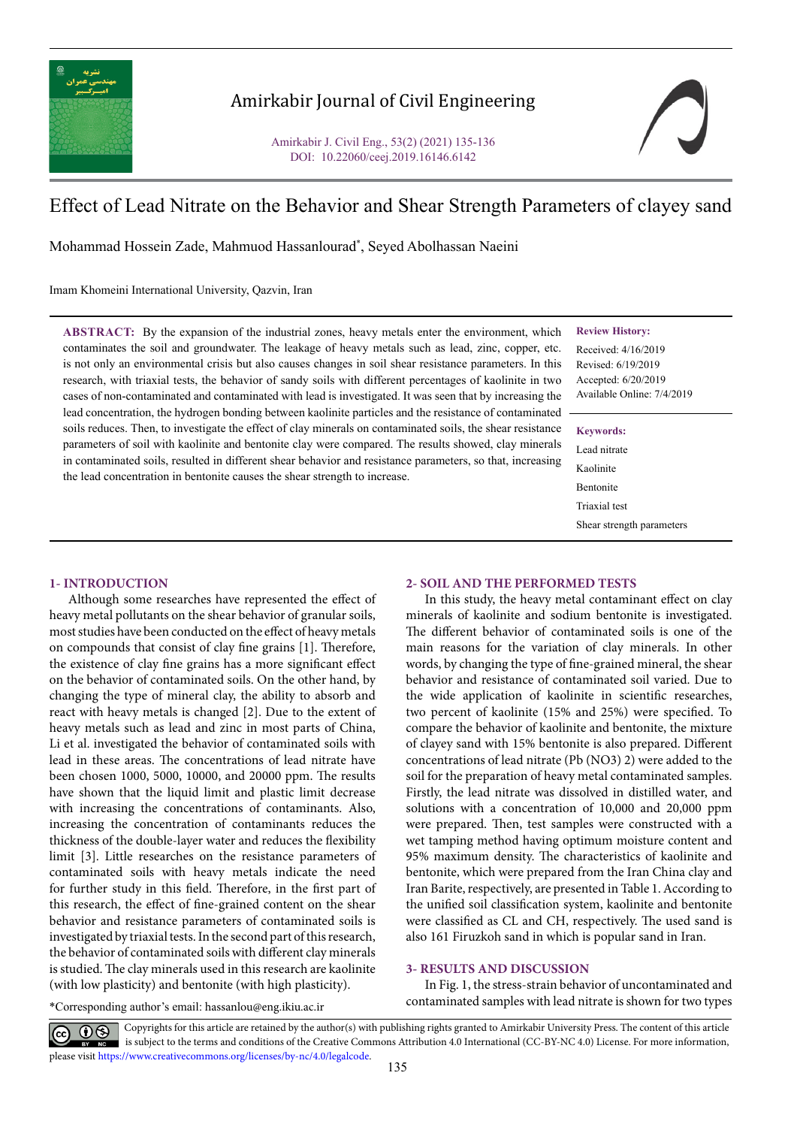

## Amirkabir Journal of Civil Engineering

Amirkabir J. Civil Eng., 53(2) (2021) 135-136 DOI: 10.22060/ceej.2019.16146.6142



# Effect of Lead Nitrate on the Behavior and Shear Strength Parameters of clayey sand

Mohammad Hossein Zade, Mahmuod Hassanlourad\* , Seyed Abolhassan Naeini

Imam Khomeini International University, Qazvin, Iran

**ABSTRACT:** By the expansion of the industrial zones, heavy metals enter the environment, which contaminates the soil and groundwater. The leakage of heavy metals such as lead, zinc, copper, etc. is not only an environmental crisis but also causes changes in soil shear resistance parameters. In this research, with triaxial tests, the behavior of sandy soils with different percentages of kaolinite in two cases of non-contaminated and contaminated with lead is investigated. It was seen that by increasing the lead concentration, the hydrogen bonding between kaolinite particles and the resistance of contaminated soils reduces. Then, to investigate the effect of clay minerals on contaminated soils, the shear resistance parameters of soil with kaolinite and bentonite clay were compared. The results showed, clay minerals in contaminated soils, resulted in different shear behavior and resistance parameters, so that, increasing the lead concentration in bentonite causes the shear strength to increase.

#### **Review History:**

Received: 4/16/2019 Revised: 6/19/2019 Accepted: 6/20/2019 Available Online: 7/4/2019

#### **Keywords:**

Lead nitrate Kaolinite Bentonite Triaxial test Shear strength parameters

## **1- INTRODUCTION**

Although some researches have represented the effect of heavy metal pollutants on the shear behavior of granular soils, most studies have been conducted on the effect of heavy metals on compounds that consist of clay fine grains [1]. Therefore, the existence of clay fine grains has a more significant effect on the behavior of contaminated soils. On the other hand, by changing the type of mineral clay, the ability to absorb and react with heavy metals is changed [2]. Due to the extent of heavy metals such as lead and zinc in most parts of China, Li et al. investigated the behavior of contaminated soils with lead in these areas. The concentrations of lead nitrate have been chosen 1000, 5000, 10000, and 20000 ppm. The results have shown that the liquid limit and plastic limit decrease with increasing the concentrations of contaminants. Also, increasing the concentration of contaminants reduces the thickness of the double-layer water and reduces the flexibility limit [3]. Little researches on the resistance parameters of contaminated soils with heavy metals indicate the need for further study in this field. Therefore, in the first part of this research, the effect of fine-grained content on the shear behavior and resistance parameters of contaminated soils is investigated by triaxial tests. In the second part of this research, the behavior of contaminated soils with different clay minerals is studied. The clay minerals used in this research are kaolinite (with low plasticity) and bentonite (with high plasticity).

In this study, the heavy metal contaminant effect on clay minerals of kaolinite and sodium bentonite is investigated. The different behavior of contaminated soils is one of the main reasons for the variation of clay minerals. In other words, by changing the type of fine-grained mineral, the shear behavior and resistance of contaminated soil varied. Due to the wide application of kaolinite in scientific researches, two percent of kaolinite (15% and 25%) were specified. To compare the behavior of kaolinite and bentonite, the mixture of clayey sand with 15% bentonite is also prepared. Different concentrations of lead nitrate (Pb (NO3) 2) were added to the soil for the preparation of heavy metal contaminated samples. Firstly, the lead nitrate was dissolved in distilled water, and solutions with a concentration of 10,000 and 20,000 ppm were prepared. Then, test samples were constructed with a wet tamping method having optimum moisture content and 95% maximum density. The characteristics of kaolinite and bentonite, which were prepared from the Iran China clay and Iran Barite, respectively, are presented in Table 1. According to the unified soil classification system, kaolinite and bentonite were classified as CL and CH, respectively. The used sand is also 161 Firuzkoh sand in which is popular sand in Iran.

**2- SOIL AND THE PERFORMED TESTS**

### **3- RESULTS AND DISCUSSION**

In Fig. 1, the stress-strain behavior of uncontaminated and contaminated samples with lead nitrate is shown for two types

\*Corresponding author's email: hassanlou@eng.ikiu.ac.ir

Copyrights for this article are retained by the author(s) with publishing rights granted to Amirkabir University Press. The content of this article is subject to the terms and conditions of the Creative Commons Attribution 4.0 International (CC-BY-NC 4.0) License. For more information, please visit https://www.creativecommons.org/licenses/by-nc/4.0/legalcode.